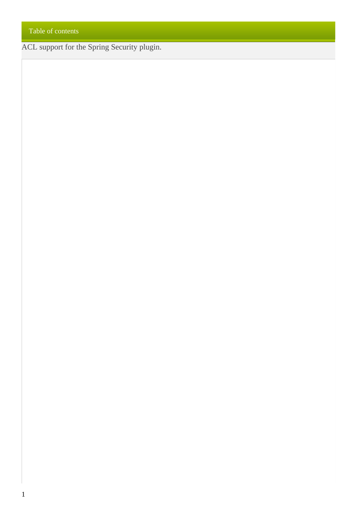ACL support for the Spring Security plugin.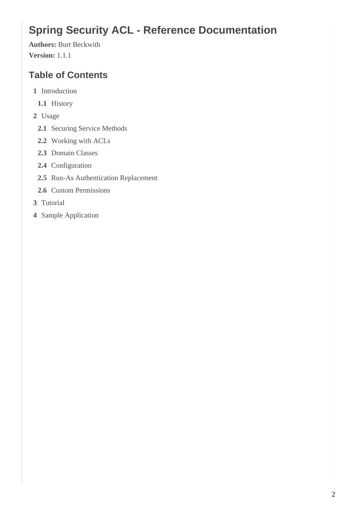# **Spring Security ACL - Reference Documentation**

**Authors:** Burt Beckwith **Version:** 1.1.1

## **Table of Contents**

- **1** Introduction
	- **1.1** History
- **2** Usage
	- **2.1** Securing Service Methods
	- **2.2** Working with ACLs
	- **2.3** Domain Classes
	- **2.4** Configuration
	- **2.5** Run-As Authentication Replacement
	- **2.6** Custom Permissions
- **3** Tutorial
- **4** Sample Application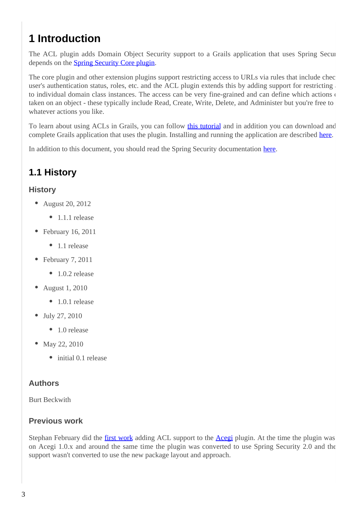# **1 Introduction**

The ACL plugin adds Domain Object Security support to a Grails application that uses Spring Security. depends on the [Spring Security Core plugin](http://grails.org/plugin/spring-security-core).

The core plugin and other extension plugins support restricting access to URLs via rules that include chec user's authentication status, roles, etc. and the ACL plugin extends this by adding support for restricting to individual domain class instances. The access can be very fine-grained and can define which actions of taken on an object - these typically include Read, Create, Write, Delete, and Administer but you're free to whatever actions you like.

To learn about using ACLs in Grails, you can follow *this tutorial* and in addition you can download and complete Grails application that uses the plugin. Installing and running the application are described here.

In addition to this document, you should read the Spring Security documentation [here.](http://static.springsource.org/spring-security/site/docs/3.0.x/reference/domain-acls.html)

## **1.1 History**

#### **History**

- August 20, 2012
	- 1.1.1 release
- February 16, 2011
	- 1.1 release
- February 7, 2011
	- $\bullet$  1.0.2 release
- August 1, 2010
	- $\bullet$  1.0.1 release
- July 27, 2010
	- 1.0 release
- May 22, 2010
	- initial 0.1 release

#### **Authors**

Burt Beckwith

#### **Previous work**

Stephan February did the [first work](http://blog.bruary.net/2008/04/grails-acegi-acl-howto.html) adding ACL support to the [Acegi](http://grails.org/plugin/acegi/) plugin. At the time the plugin was on Acegi 1.0.x and around the same time the plugin was converted to use Spring Security 2.0 and the support wasn't converted to use the new package layout and approach.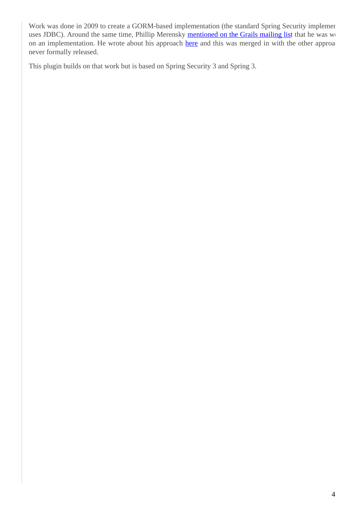Work was done in 2009 to create a GORM-based implementation (the standard Spring Security implement uses JDBC). Around the same time, Phillip Merensky [mentioned on the Grails mailing list](http://grails.1312388.n4.nabble.com/Acegi-Plugin-0-5-1-with-ACL-support-implemented-td1400650.html) that he was working on an implementation. He wrote about his approach [here](http://imagesiteproject.wordpress.com/2009/09/24/integration-of-spring-security-into-grails-plugin-approach-3/) and this was merged in with the other approa never formally released.

This plugin builds on that work but is based on Spring Security 3 and Spring 3.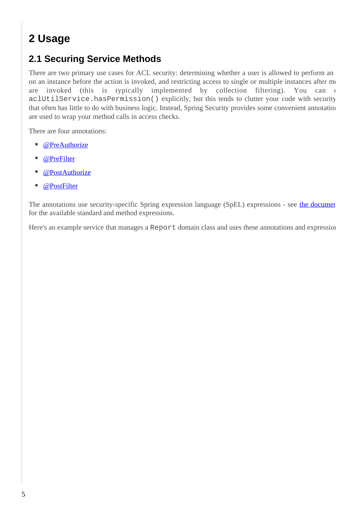# **2 Usage**

### **2.1 Securing Service Methods**

There are two primary use cases for ACL security: determining whether a user is allowed to perform an on an instance before the action is invoked, and restricting access to single or multiple instances after  $m$ are invoked (this is typically implemented by collection filtering). You can call aclUtilService.hasPermission() explicitly, but this tends to clutter your code with security that often has little to do with business logic. Instead, Spring Security provides some convenient annotation are used to wrap your method calls in access checks.

There are four annotations:

- $\bullet$ [@PreAuthorize](http://static.springsource.org/spring-security/site/docs/3.0.x/apidocs/org/springframework/security/access/prepost/PreAuthorize.html)
- [@PreFilter](http://static.springsource.org/spring-security/site/docs/3.0.x/apidocs/org/springframework/security/access/prepost/PreFilter.html)
- [@PostAuthorize](http://static.springsource.org/spring-security/site/docs/3.0.x/apidocs/org/springframework/security/access/prepost/PostAuthorize.html)
- $\bullet$ [@PostFilter](http://static.springsource.org/spring-security/site/docs/3.0.x/apidocs/org/springframework/security/access/prepost/PostFilter.html)

The annotations use security-specific Spring expression language (SpEL) expressions - see the document for the available standard and method expressions.

Here's an example service that manages a Report domain class and uses these annotations and expressions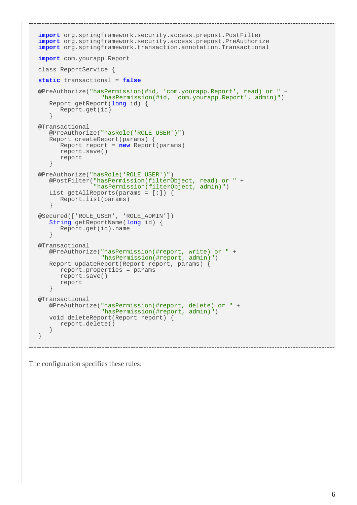```
import org.springframework.security.access.prepost.PostFilter
import org.springframework.security.access.prepost.PreAuthorize
import org.springframework.transaction.annotation.Transactional
import com.yourapp.Report
class ReportService {
static transactional = false
@PreAuthorize("hasPermission(#id, 'com.yourapp.Report', read) or " +
                  "hasPermission(#id, 'com.yourapp.Report', admin)")
    Report getReport(long id) {
      Report.get(id)
    }
@Transactional
    @PreAuthorize("hasRole('ROLE_USER')")
    Report createReport(params) {
      Report report = new Report(params)
      report.save()
      report
    }
@PreAuthorize("hasRole('ROLE_USER')")
    @PostFilter("hasPermission(filterObject, read) or " +
                "hasPermission(filterObject, admin)")
    List getAllReports(params = [:]) {
      Report.list(params)
    }
@Secured(['ROLE_USER', 'ROLE_ADMIN'])
    String getReportName(long id) {
      Report.get(id).name
    }
@Transactional
    @PreAuthorize("hasPermission(#report, write) or " +
                  "hasPermission(#report, admin)")
    Report updateReport(Report report, params) {
      report.properties = params
      report.save()
      report
    }
@Transactional
    @PreAuthorize("hasPermission(#report, delete) or " +
                  "hasPermission(#report, admin)")
    void deleteReport(Report report) {
      report.delete()
    }
}
```
The configuration specifies these rules: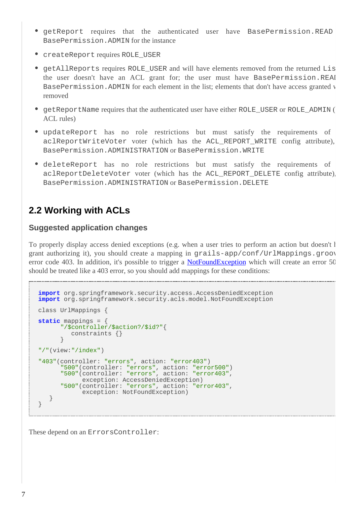- getReport requires that the authenticated user have BasePermission.READ BasePermission.ADMIN for the instance
- createReport requires ROLE\_USER
- getAllReports requires ROLE\_USER and will have elements removed from the returned Lis the user doesn't have an ACL grant for; the user must have BasePermission.REAI BasePermission.ADMIN for each element in the list; elements that don't have access granted v removed
- getReportName requires that the authenticated user have either ROLE\_USER or ROLE\_ADMIN ( ACL rules)
- updateReport has no role restrictions but must satisfy the requirements of aclReportWriteVoter voter (which has the ACL REPORT WRITE config attribute), BasePermission.ADMINISTRATION or BasePermission.WRITE
- deleteReport has no role restrictions but must satisfy the requirements of aclReportDeleteVoter voter (which has the ACL\_REPORT\_DELETE config attribute). BasePermission.ADMINISTRATION or BasePermission.DELETE

### **2.2 Working with ACLs**

#### **Suggested application changes**

To properly display access denied exceptions (e.g. when a user tries to perform an action but doesn't l grant authorizing it), you should create a mapping in grails-app/conf/UrlMappings.groov error code 403. In addition, it's possible to trigger a [NotFoundException](http://static.springsource.org/spring-security/site/docs/3.0.x/apidocs/org/springframework/security/acls/model/NotFoundException.html) which will create an error 50 should be treated like a 403 error, so you should add mappings for these conditions:

```
import org.springframework.security.access.AccessDeniedException
import org.springframework.security.acls.model.NotFoundException
class UrlMappings {
static mappings = {
       "/$controller/$action?/$id?"{
         constraints {}
 }
"/"(view:"/index")
"403"(controller: "errors", action: "error403")
 "500"(controller: "errors", action: "error500")
 "500"(controller: "errors", action: "error403",
             exception: AccessDeniedException)
       "500"(controller: "errors", action: "error403",
            exception: NotFoundException)
    }
}
```
These depend on an ErrorsController: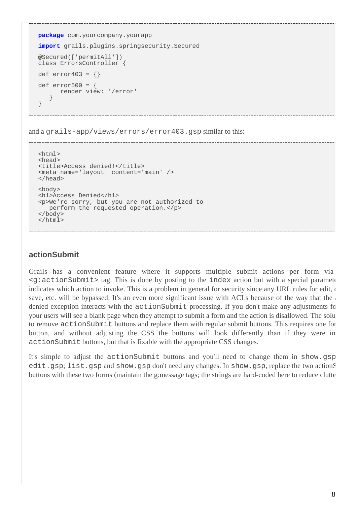```
package com.yourcompany.yourapp
import grails.plugins.springsecurity.Secured
@Secured(['permitAll'])
class ErrorsController {
def error403 = \{\}def error500 = {
       render view: '/error'
    }
}
```
and a grails-app/views/errors/error403.gsp similar to this:

```
<html>
<head>
<title>Access denied!</title>
<meta name='layout' content='main' />
</head>
<body>
<h1>Access Denied</h1>
<p>We're sorry, but you are not authorized to
   perform the requested operation.</p>
</body>
</html>
```
#### **actionSubmit**

Grails has a convenient feature where it supports multiple submit actions per form via  $\leq g:$  actionSubmit> tag. This is done by posting to the index action but with a special parameter indicates which action to invoke. This is a problem in general for security since any URL rules for edit, or save, etc. will be bypassed. It's an even more significant issue with ACLs because of the way that the denied exception interacts with the  $actionSubmit processing$ . If you don't make any adjustments for your users will see a blank page when they attempt to submit a form and the action is disallowed. The solu to remove action Submit buttons and replace them with regular submit buttons. This requires one for button, and without adjusting the CSS the buttons will look differently than if they were inactionSubmit buttons, but that is fixable with the appropriate CSS changes.

It's simple to adjust the action Submit buttons and you'll need to change them in show.gsp edit.gsp; list.gsp and show.gsp don't need any changes. In show.gsp, replace the two actionSub buttons with these two forms (maintain the g:message tags; the strings are hard-coded here to reduce clutter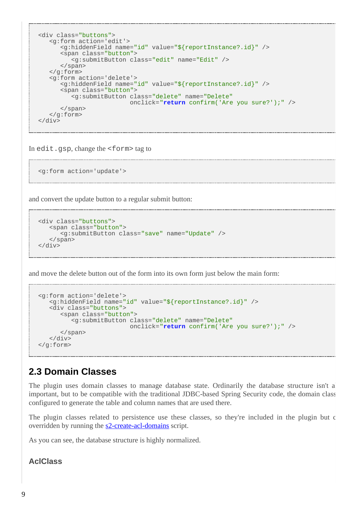```
<div class="buttons">
    <g:form action='edit'>
       <g:hiddenField name="id" value="${reportInstance?.id}" />
       <span class="button">
          <g:submitButton class="edit" name="Edit" />
      </span>
   </g:form>
    <g:form action='delete'>
       <g:hiddenField name="id" value="${reportInstance?.id}" />
       <span class="button">
          <g:submitButton class="delete" name="Delete"
                           onclick="return confirm('Are you sure?');" />
       </span>
   </g:form>
</div>
```
In edit.gsp, change the <form> tag to

```
<g:form action='update'>
```
and convert the update button to a regular submit button:

```
<div class="buttons">
    <span class="button">
       <g:submitButton class="save" name="Update" />
    </span>
</div>
```
and move the delete button out of the form into its own form just below the main form:

```
<g:form action='delete'>
   <g:hiddenField name="id" value="${reportInstance?.id}" />
    <div class="buttons">
       <span class="button">
          <g:submitButton class="delete" name="Delete"
                           onclick="return confirm('Are you sure?');" />
       </span>
   </div>
</g:form>
```
## **2.3 Domain Classes**

The plugin uses domain classes to manage database state. Ordinarily the database structure isn't a important, but to be compatible with the traditional JDBC-based Spring Security code, the domain classes configured to generate the table and column names that are used there.

The plugin classes related to persistence use these classes, so they're included in the plugin but c overridden by running the s2-create-acl-domains script.

As you can see, the database structure is highly normalized.

#### **AclClass**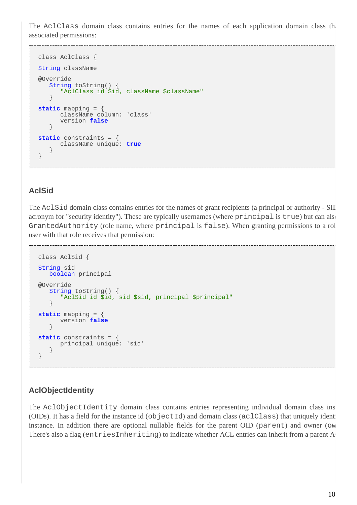The AclClass domain class contains entries for the names of each application domain class that associated permissions:

```
class AclClass {
String className
@Override
   String toString() {
       "AclClass id $id, className $className"
 }
static mapping = {
      className column: 'class'
       version false
    }
static constraints = {
       className unique: true
    }
}
```
#### **AclSid**

The AclSid domain class contains entries for the names of grant recipients (a principal or authority - SII acronym for "security identity"). These are typically usernames (where principal is true) but can also GrantedAuthority (role name, where principal is false). When granting permissions to a rol user with that role receives that permission:

```
class AclSid {
String sid
   boolean principal
@Override
   String toString() {
      "AclSid id $id, sid $sid, principal $principal"
    }
static mapping = {
       version false
 }
static constraints = {
     principal unique: 'sid'
    }
}
```
### **AclObjectIdentity**

The AclObjectIdentity domain class contains entries representing individual domain class ins (OIDs). It has a field for the instance id ( $objectId$ ) and domain class ( $aclClass$ ) that uniquely identify instance. In addition there are optional nullable fields for the parent OID (parent) and owner (own There's also a flag (entriesInheriting) to indicate whether ACL entries can inherit from a parent A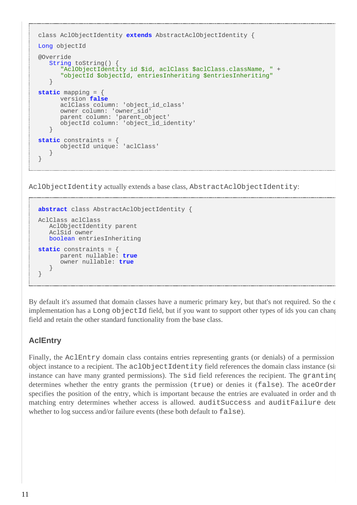```
class AclObjectIdentity extends AbstractAclObjectIdentity {
Long objectId
@Override
   String toString()
       "AclObjectIdentity id $id, aclClass $aclClass.className, " +
       "objectId $objectId, entriesInheriting $entriesInheriting"
    }
static mapping = {
      version false
      aclClass column: 'object_id_class'
 owner column: 'owner_sid'
 parent column: 'parent_object'
       objectId column: 'object_id_identity'
    }
static constraints = {
      objectId unique: 'aclClass'
 }
}
```
AclObjectIdentity actually extends a base class, AbstractAclObjectIdentity:

```
abstract class AbstractAclObjectIdentity {
AclClass aclClass
    AclObjectIdentity parent
    AclSid owner
    boolean entriesInheriting
static constraints = {
      parent nullable: true
       owner nullable: true
    }
}
```
By default it's assumed that domain classes have a numeric primary key, but that's not required. So the default implementation has a Long objectId field, but if you want to support other types of ids you can change field and retain the other standard functionality from the base class.

### **AclEntry**

Finally, the AclEntry domain class contains entries representing grants (or denials) of a permission object instance to a recipient. The aclObjectIdentity field references the domain class instance (sin instance can have many granted permissions). The sid field references the recipient. The granting determines whether the entry grants the permission (true) or denies it (false). The aceOrder specifies the position of the entry, which is important because the entries are evaluated in order and the first matching entry determines whether access is allowed. auditSuccess and auditFailure dete whether to log success and/or failure events (these both default to false).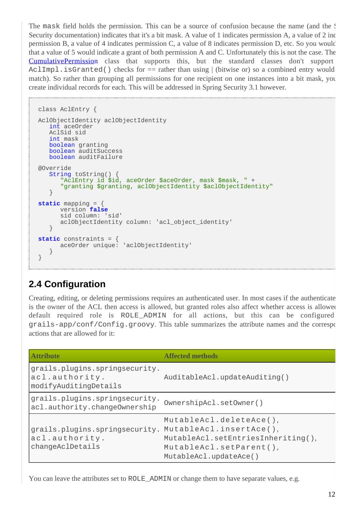The mask field holds the permission. This can be a source of confusion because the name (and the Spring) Security documentation) indicates that it's a bit mask. A value of 1 indicates permission A, a value of 2 indicates permission B, a value of 4 indicates permission C, a value of 8 indicates permission D, etc. So you would that a value of 5 would indicate a grant of both permission A and C. Unfortunately this is not the case. The [CumulativePermissio](http://static.springsource.org/spring-security/site/docs/3.0.x/apidocs/org/springframework/security/acls/domain/CumulativePermission.html)n class that supports this, but the standard classes don't support  $AclImpl.isGranted()$  checks for  $==$  rather than using  $|$  (bitwise or) so a combined entry would match). So rather than grouping all permissions for one recipient on one instances into a bit mask, you create individual records for each. This will be addressed in Spring Security 3.1 however.

```
class AclEntry {
AclObjectIdentity aclObjectIdentity
   int aceOrder
   AclSid sid
   int mask
    boolean granting
    boolean auditSuccess
   boolean auditFailure
@Override
   String toString()
       "AclEntry id $id, aceOrder $aceOrder, mask $mask, " +
       "granting $granting, aclObjectIdentity $aclObjectIdentity"
    }
static mapping = {
       version false
       sid column: 'sid'
       aclObjectIdentity column: 'acl_object_identity'
    }
static constraints = {
       aceOrder unique: 'aclObjectIdentity'
    }
}
```
### **2.4 Configuration**

Creating, editing, or deleting permissions requires an authenticated user. In most cases if the authenticate is the owner of the ACL then access is allowed, but granted roles also affect whether access is allowed. default required role is ROLE\_ADMIN for all actions, but this can be configured grails-app/conf/Config.groovy. This table summarizes the attribute names and the corresponding actions that are allowed for it:

| <b>Attribute</b>                                                          | Affected methods                                                                                                                              |
|---------------------------------------------------------------------------|-----------------------------------------------------------------------------------------------------------------------------------------------|
| grails.plugins.springsecurity.<br>acl.authority.<br>modifyAuditingDetails | AuditableAcl.updateAuditing()                                                                                                                 |
| grails.plugins.springsecurity.<br>acl.authority.changeOwnership           | OwnershipAcl.setOwner()                                                                                                                       |
| grails.plugins.springsecurity.<br>acl.authority.<br>changeAclDetails      | MutableAcl.deleteAce(),<br>MutableAcl.insertAce(),<br>MutableAcl.setEntriesInheriting(),<br>MutableAcl.setParent(),<br>MutableAcl.updateAce() |

You can leave the attributes set to ROLE\_ADMIN or change them to have separate values, e.g.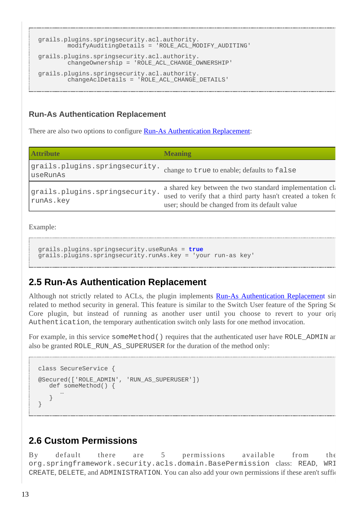```
grails.plugins.springsecurity.acl.authority.
        modifyAuditingDetails = 'ROLE_ACL_MODIFY_AUDITING'
grails.plugins.springsecurity.acl.authority.
         changeOwnership = 'ROLE_ACL_CHANGE_OWNERSHIP'
grails.plugins.springsecurity.acl.authority.
        changeAclDetails = 'ROLE_ACL_CHANGE_DETAILS'
```
#### **Run-As Authentication Replacement**

There are also two options to configure **[Run-As Authentication Replacement](http://static.springsource.org/spring-security/site/docs/3.0.x/reference/runas.html)**:

| <b>Attribute</b>                            | <b>Meaning</b>                                                                                                                                                              |
|---------------------------------------------|-----------------------------------------------------------------------------------------------------------------------------------------------------------------------------|
| grails.plugins.springsecurity.<br>useRunAs  | change to true to enable; defaults to false                                                                                                                                 |
| grails.plugins.springsecurity.<br>runAs.key | a shared key between the two standard implementation class<br>used to verify that a third party hasn't created a token fo<br>user; should be changed from its default value |

Example:

```
grails.plugins.springsecurity.useRunAs = true
grails.plugins.springsecurity.runAs.key = 'your run-as key'
```
### **2.5 Run-As Authentication Replacement**

Although not strictly related to ACLs, the plugin implements [Run-As Authentication Replacemen](http://static.springsource.org/spring-security/site/docs/3.0.x/reference/runas.html)t sin related to method security in general. This feature is similar to the Switch User feature of the Spring Security Core plugin, but instead of running as another user until you choose to revert to your original Authentication, the temporary authentication switch only lasts for one method invocation.

For example, in this service someMethod() requires that the authenticated user have ROLE\_ADMIN ar also be granted ROLE\_RUN\_AS\_SUPERUSER for the duration of the method only:

```
class SecureService {
@Secured(['ROLE_ADMIN', 'RUN_AS_SUPERUSER'])
   def someMethod() {
 …
    }
}
```
### **2.6 Custom Permissions**

By default there are 5 permissions available from the org.springframework.security.acls.domain.BasePermission class: READ, WRI CREATE, DELETE, and ADMINISTRATION. You can also add your own permissions if these aren't sufficient.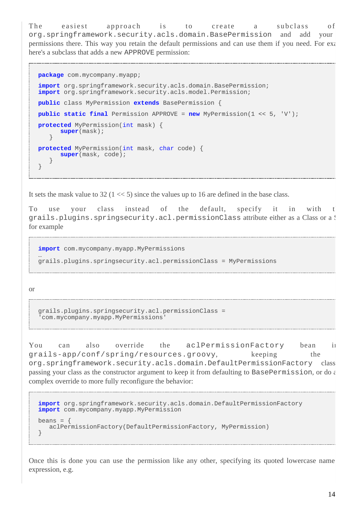The easiest approach is to create a subclass of org.springframework.security.acls.domain.BasePermission and add your new permissions there. This way you retain the default permissions and can use them if you need. For example, here's a subclass that adds a new APPROVE permission:

```
package com.mycompany.myapp;
import org.springframework.security.acls.domain.BasePermission;
import org.springframework.security.acls.model.Permission;
public class MyPermission extends BasePermission {
public static final Permission APPROVE = new MyPermission(1 << 5, 'V');
protected MyPermission(int mask) {
       super(mask);
    }
protected MyPermission(int mask, char code) {
      super(mask, code);
    }
}
```
It sets the mask value to 32 ( $1 \ll 5$ ) since the values up to 16 are defined in the base class.

To use your class instead of the default, specify it in with t grails.plugins.springsecurity.acl.permissionClass attribute either as a Class or a! for example

```
import com.mycompany.myapp.MyPermissions
…
grails.plugins.springsecurity.acl.permissionClass = MyPermissions
```
or

```
grails.plugins.springsecurity.acl.permissionClass =
'com.mycompany.myapp.MyPermissions'
```
You can also override the aclPermissionFactory bean in grails-app/conf/spring/resources.groovy, keeping the org.springframework.security.acls.domain.DefaultPermissionFactory class but passing your class as the constructor argument to keep it from defaulting to BasePermission, or do  $\epsilon$ complex override to more fully reconfigure the behavior:

```
import org.springframework.security.acls.domain.DefaultPermissionFactory
import com.mycompany.myapp.MyPermission
beans = \{ aclPermissionFactory(DefaultPermissionFactory, MyPermission)
}
```
Once this is done you can use the permission like any other, specifying its quoted lowercase name expression, e.g.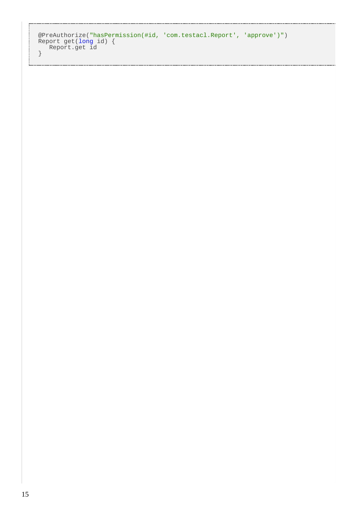```
@PreAuthorize("hasPermission(#id, 'com.testacl.Report', 'approve')")
Report get(long id) {
  Report.get id
}
```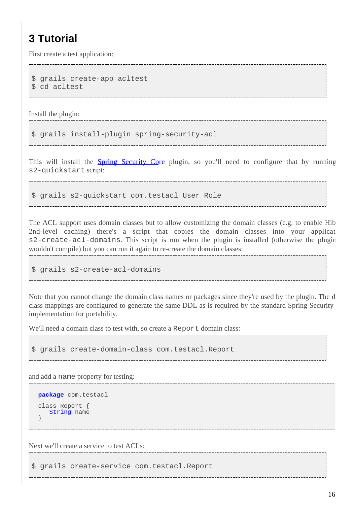# **3 Tutorial**

First create a test application:

```
$ grails create-app acltest
$ cd acltest
```
Install the plugin:

```
$ grails install-plugin spring-security-acl
```
This will install the **[Spring Security Co](http://grails.org/plugin/spring-security-core)re** plugin, so you'll need to configure that by running s2-quickstart script:

\$ grails s2-quickstart com.testacl User Role

The ACL support uses domain classes but to allow customizing the domain classes (e.g. to enable Hib 2nd-level caching) there's a script that copies the domain classes into your applicat  $s2$ -create-acl-domains. This script is run when the plugin is installed (otherwise the plugin wouldn't compile) but you can run it again to re-create the domain classes:

```
$ grails s2-create-acl-domains
```
Note that you cannot change the domain class names or packages since they're used by the plugin. The d class mappings are configured to generate the same DDL as is required by the standard Spring Security implementation for portability.

We'll need a domain class to test with, so create a Report domain class:

\$ grails create-domain-class com.testacl.Report

and add a name property for testing:

```
package com.testacl
class Report {
    String name
}
```
Next we'll create a service to test ACLs:

\$ grails create-service com.testacl.Report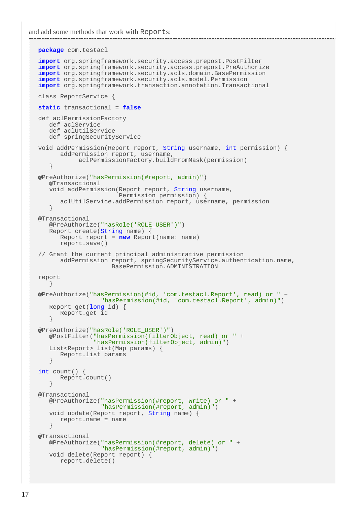and add some methods that work with Reports:

```
package com.testacl
import org.springframework.security.access.prepost.PostFilter
import org.springframework.security.access.prepost.PreAuthorize
import org.springframework.security.acls.domain.BasePermission
import org.springframework.security.acls.model.Permission
import org.springframework.transaction.annotation.Transactional
class ReportService {
static transactional = false
def aclPermissionFactory
 def aclService
 def aclUtilService
    def springSecurityService
void addPermission(Report report, String username, int permission) {
       addPermission report, username,
            aclPermissionFactory.buildFromMask(permission)
    }
@PreAuthorize("hasPermission(#report, admin)")
    @Transactional
    void addPermission(Report report, String username,
                       Permission permission) {
       aclUtilService.addPermission report, username, permission
    }
@Transactional
    @PreAuthorize("hasRole('ROLE_USER')")
    Report create(String name) {
       Report report = new Report(name: name)
       report.save()
// Grant the current principal administrative permission
       addPermission report, springSecurityService.authentication.name,
                     BasePermission.ADMINISTRATION
report
    }
@PreAuthorize("hasPermission(#id, 'com.testacl.Report', read) or " +
                  "hasPermission(#id, 'com.testacl.Report', admin)")
    Report get(long id) {
       Report.get id
 }
@PreAuthorize("hasRole('ROLE_USER')")
    @PostFilter("hasPermission(filterObject, read) or " +
                 "hasPermission(filterObject, admin)")
    List<Report> list(Map params) {
       Report.list params
 }
int count() {
      Report.count()
 }
@Transactional
    @PreAuthorize("hasPermission(#report, write) or " +
                   "hasPermission(#report, admin)")
    void update(Report report, String name) {
       report.name = name
    }
@Transactional
    @PreAuthorize("hasPermission(#report, delete) or " +
                  "hasPermission(#report, admin)")
    void delete(Report report) {
       report.delete()
```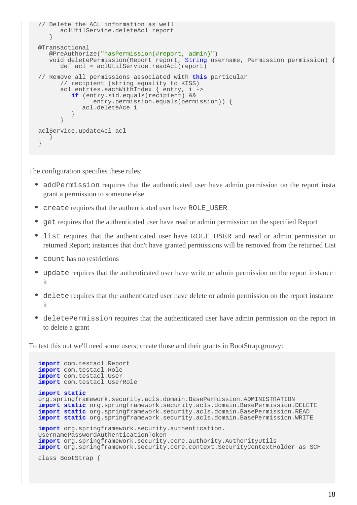```
// Delete the ACL information as well
       aclUtilService.deleteAcl report
    }
@Transactional
    @PreAuthorize("hasPermission(#report, admin)")
    void deletePermission(Report report, String username, Permission permission) {
       def acl = aclUtilService.readAcl(report)
// Remove all permissions associated with this particular
       // recipient (string equality to KISS)
       acl.entries.eachWithIndex { entry, i ->
          if (entry.sid.equals(recipient) &&
                entry.permission.equals(permission)) {
             acl.deleteAce i
 }
 }
aclService.updateAcl acl
    }
}
```
The configuration specifies these rules:

- addPermission requires that the authenticated user have admin permission on the report instance to the report grant a permission to someone else
- create requires that the authenticated user have ROLE\_USER
- get requires that the authenticated user have read or admin permission on the specified Report
- list requires that the authenticated user have ROLE\_USER and read or admin permission or returned Report; instances that don't have granted permissions will be removed from the returned List
- count has no restrictions
- update requires that the authenticated user have write or admin permission on the report instance it
- delete requires that the authenticated user have delete or admin permission on the report instance it
- deletePermission requires that the authenticated user have admin permission on the report in to delete a grant

To test this out we'll need some users; create those and their grants in BootStrap.groovy:

```
import com.testacl.Report
import com.testacl.Role
import com.testacl.User
import com.testacl.UserRole
import static
org.springframework.security.acls.domain.BasePermission.ADMINISTRATION
import static org.springframework.security.acls.domain.BasePermission.DELETE
import static org.springframework.security.acls.domain.BasePermission.READ
import static org.springframework.security.acls.domain.BasePermission.WRITE
import org.springframework.security.authentication.
UsernamePasswordAuthenticationToken
import org.springframework.security.core.authority.AuthorityUtils
import org.springframework.security.core.context.SecurityContextHolder as SCH
class BootStrap {
```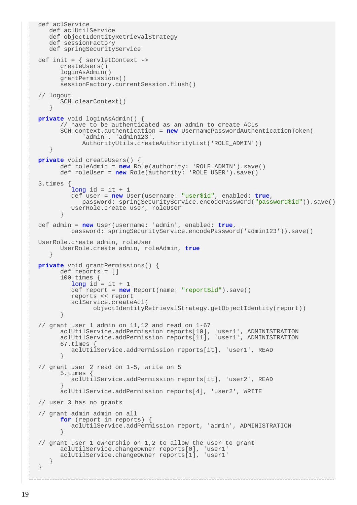```
def aclService
    def aclUtilService
    def objectIdentityRetrievalStrategy
    def sessionFactory
    def springSecurityService
def init = \{ servletContext ->
       createUsers()
       loginAsAdmin()
       grantPermissions()
      sessionFactory.currentSession.flush()
// logout
       SCH.clearContext()
 }
private void loginAsAdmin() {
       // have to be authenticated as an admin to create ACLs
       SCH.context.authentication = new UsernamePasswordAuthenticationToken(
             'admin', 'admin123',
             AuthorityUtils.createAuthorityList('ROLE_ADMIN'))
    }
private void createUsers() {
       def roleAdmin = new Role(authority: 'ROLE_ADMIN').save()
       def roleUser = new Role(authority: 'ROLE_USER').save()
3.times {
         long id = it + 1 def user = new User(username: "user$id", enabled: true,
             password: springSecurityService.encodePassword("password$id")).save()
          UserRole.create user, roleUser
 }
def admin = new User(username: 'admin', enabled: true,
          password: springSecurityService.encodePassword('admin123')).save()
UserRole.create admin, roleUser
       UserRole.create admin, roleAdmin, true
 }
private void grantPermissions() {
       def reports = []
       100.times {
         long id = it + 1 def report = new Report(name: "report$id").save()
          reports << report
          aclService.createAcl(
                objectIdentityRetrievalStrategy.getObjectIdentity(report))
 }
// grant user 1 admin on 11,12 and read on 1-67
       aclUtilService.addPermission reports[10], 'user1', ADMINISTRATION
       aclUtilService.addPermission reports[11], 'user1', ADMINISTRATION
       67.times {
          aclUtilService.addPermission reports[it], 'user1', READ
 }
// grant user 2 read on 1-5, write on 5
       5.times {
          aclUtilService.addPermission reports[it], 'user2', READ
 }
       aclUtilService.addPermission reports[4], 'user2', WRITE
// user 3 has no grants
// grant admin admin on all
       for (report in reports) {
          aclUtilService.addPermission report, 'admin', ADMINISTRATION
 }
// grant user 1 ownership on 1,2 to allow the user to grant
       aclUtilService.changeOwner reports[0], 'user1'
       aclUtilService.changeOwner reports[1], 'user1'
    }
}
```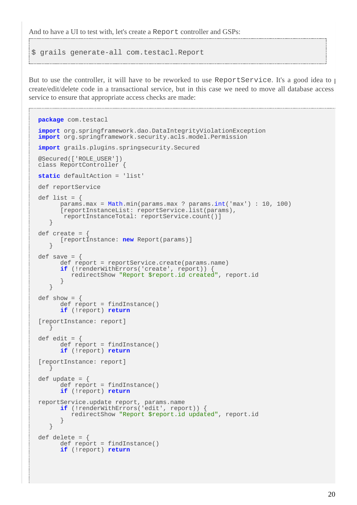And to have a UI to test with, let's create a Report controller and GSPs:

```
$ grails generate-all com.testacl.Report
```
But to use the controller, it will have to be reworked to use ReportService. It's a good idea to put create/edit/delete code in a transactional service, but in this case we need to move all database access service to ensure that appropriate access checks are made:

```
package com.testacl
import org.springframework.dao.DataIntegrityViolationException
import org.springframework.security.acls.model.Permission
import grails.plugins.springsecurity.Secured
@Secured(['ROLE_USER'])
class ReportController {
static defaultAction = 'list'
def reportService
def list = \{ params.max = Math.min(params.max ? params.int('max') : 10, 100)
       [reportInstanceList: reportService.list(params),
        reportInstanceTotal: reportService.count()]
    }
def create = \{ [reportInstance: new Report(params)]
 }
def save = \{ def report = reportService.create(params.name)
       if (!renderWithErrors('create', report)) {
          redirectShow "Report $report.id created", report.id
 }
    }
def show = \{ def report = findInstance()
       if (!report) return
[reportInstance: report]
 }
def edit = \{ def report = findInstance()
       if (!report) return
[reportInstance: report]
 }
def update = \{def report = findInstance()
       if (!report) return
reportService.update report, params.name
       if (!renderWithErrors('edit', report)) {
          redirectShow "Report $report.id updated", report.id
 }
    }
def delete = \{ def report = findInstance()
       if (!report) return
```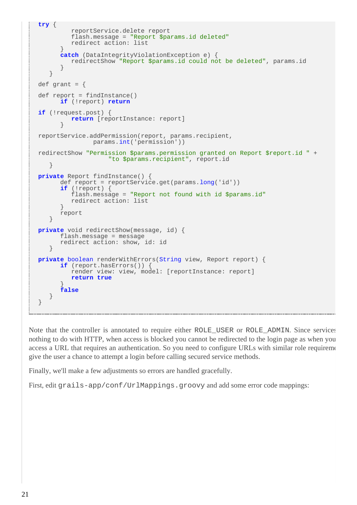```
try {
          reportService.delete report
          flash.message = "Report $params.id deleted"
          redirect action: list
 }
       catch (DataIntegrityViolationException e) {
          redirectShow "Report $params.id could not be deleted", params.id
 }
    }
def grant = \{def report = findInstance()
       if (!report) return
if (!request.post) {
          return [reportInstance: report]
 }
reportService.addPermission(report, params.recipient,
                params.int('permission'))
redirectShow "Permission $params.permission granted on Report $report.id " +
                    "to $params.recipient", report.id
    }
private Report findInstance() {
       def report = reportService.get(params.long('id'))
       if (!report) {
          flash.message = "Report not found with id $params.id"
      redirect action: list
 }
       report
    }
private void redirectShow(message, id) {
       flash.message = message
       redirect action: show, id: id
    }
private boolean renderWithErrors(String view, Report report) {
       if (report.hasErrors()) {
          render view: view, model: [reportInstance: report]
          return true
 }
       false
    }
}
```
Note that the controller is annotated to require either ROLE\_USER or ROLE\_ADMIN. Since services nothing to do with HTTP, when access is blocked you cannot be redirected to the login page as when you access a URL that requires an authentication. So you need to configure URLs with similar role requirements give the user a chance to attempt a login before calling secured service methods.

Finally, we'll make a few adjustments so errors are handled gracefully.

First, edit grails-app/conf/UrlMappings.groovy and add some error code mappings: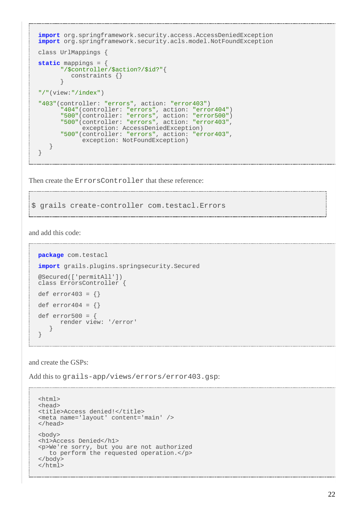```
import org.springframework.security.access.AccessDeniedException
import org.springframework.security.acls.model.NotFoundException
class UrlMappings {
static mappings = {
       "/$controller/$action?/$id?"{
          constraints {}
 }
"/"(view:"/index")
"403"(controller: "errors", action: "error403")
       "404"(controller: "errors", action: "error404")
       "500"(controller: "errors", action: "error500")
       "500"(controller: "errors", action: "error403",
             exception: AccessDeniedException)
       "500"(controller: "errors", action: "error403",
            exception: NotFoundException)
    }
}
```
Then create the ErrorsController that these reference:

\$ grails create-controller com.testacl.Errors

and add this code:

```
package com.testacl
import grails.plugins.springsecurity.Secured
@Secured(['permitAll'])
class ErrorsController {
def error403 = \{\}def error404 = \{\}def error500 = render view: '/error'
 }
}
```
and create the GSPs:

Add this to grails-app/views/errors/error403.gsp:

```
<html>
<head>
<title>Access denied!</title>
<meta name='layout' content='main' />
</head>
<body>
<h1>Access Denied</h1>
<p>We're sorry, but you are not authorized
    to perform the requested operation.</p>
</body>
</html>
```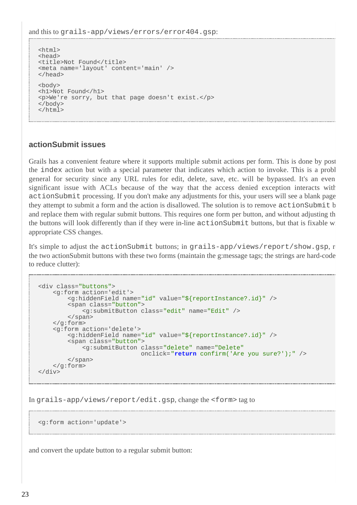and this to grails-app/views/errors/error404.gsp:

```
<html>
<head>
<title>Not Found</title>
<meta name='layout' content='main' />
</head>
<body>
<h1>Not Found</h1>
<p>We're sorry, but that page doesn't exist.</p>
</body>
</html>
```
#### **actionSubmit issues**

Grails has a convenient feature where it supports multiple submit actions per form. This is done by post the index action but with a special parameter that indicates which action to invoke. This is a problem in general for security since any URL rules for edit, delete, save, etc. will be bypassed. It's an even significant issue with ACLs because of the way that the access denied exception interacts with action Submit processing. If you don't make any adjustments for this, your users will see a blank page they attempt to submit a form and the action is disallowed. The solution is to remove action Submit b and replace them with regular submit buttons. This requires one form per button, and without adjusting the CSS the buttons will look differently than if they were in-line actionSubmit buttons, but that is fixable w appropriate CSS changes.

It's simple to adjust the actionSubmit buttons; in grails-app/views/report/show.gsp, r the two actionSubmit buttons with these two forms (maintain the g:message tags; the strings are hard-code to reduce clutter):

```
<div class="buttons">
     <g:form action='edit'>
         <g:hiddenField name="id" value="${reportInstance?.id}" />
         <span class="button">
             <g:submitButton class="edit" name="Edit" />
         </span>
     </g:form>
     <g:form action='delete'>
         <g:hiddenField name="id" value="${reportInstance?.id}" />
         <span class="button">
             <g:submitButton class="delete" name="Delete"
                              onclick="return confirm('Are you sure?');" />
         </span>
     </g:form>
</div>
```
In grails-app/views/report/edit.gsp, change the <form> tag to

<g:form action='update'>

and convert the update button to a regular submit button: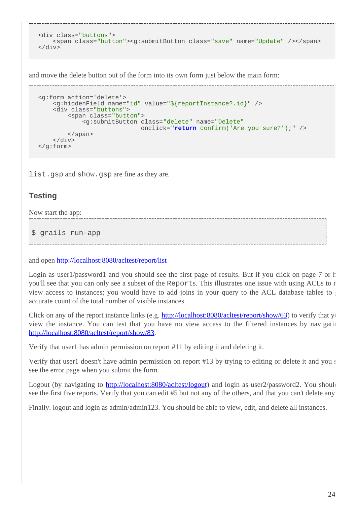```
<div class="buttons">
    <span class="button"><g:submitButton class="save" name="Update" /></span>
</div>
```
and move the delete button out of the form into its own form just below the main form:

```
<g:form action='delete'>
     <g:hiddenField name="id" value="${reportInstance?.id}" />
     <div class="buttons">
         <span class="button">
             <g:submitButton class="delete" name="Delete"
                             onclick="return confirm('Are you sure?');" />
         </span>
     </div>
</g:form>
```
list.gsp and show.gsp are fine as they are.

#### **Testing**

Now start the app:

\$ grails run-app

and open <http://localhost:8080/acltest/report/list>

Login as user1/password1 and you should see the first page of results. But if you click on page 7 or h you'll see that you can only see a subset of the Reports. This illustrates one issue with using ACLs to restrictionview access to instances; you would have to add joins in your query to the ACL database tables to accurate count of the total number of visible instances.

Click on any of the report instance links (e.g.  $\frac{http://localhost:8080/aclets/report/show/63)}{http://localhost:8080/aclets/report/show/63)}$  to verify that you view the instance. You can test that you have no view access to the filtered instances by navigating <http://localhost:8080/acltest/report/show/83>.

Verify that user1 has admin permission on report #11 by editing it and deleting it.

Verify that user 1 doesn't have admin permission on report #13 by trying to editing or delete it and you  $\epsilon$ see the error page when you submit the form.

Logout (by navigating to <http://localhost:8080/acltest/logout>) and login as user2/password2. You should see the first five reports. Verify that you can edit #5 but not any of the others, and that you can't delete any.

Finally. logout and login as admin/admin123. You should be able to view, edit, and delete all instances.